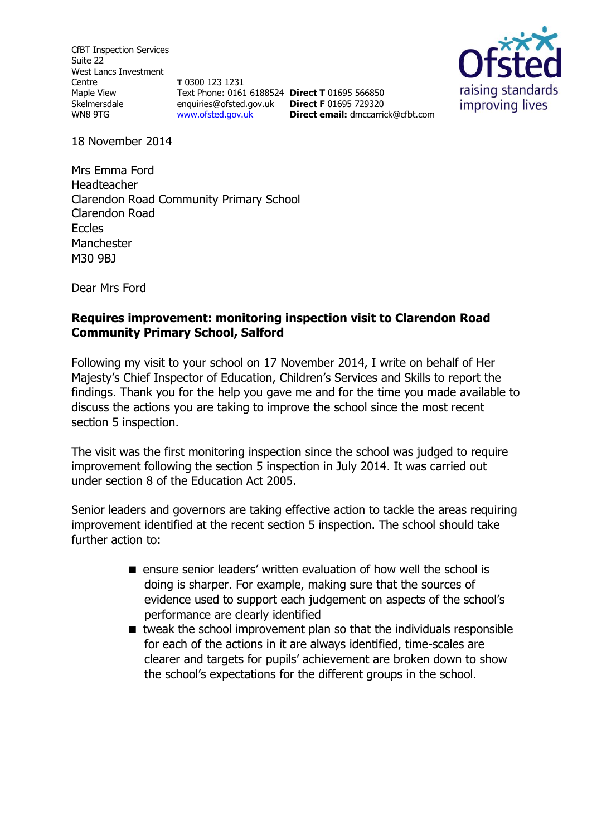CfBT Inspection Services Suite 22 West Lancs Investment Centre Maple View Skelmersdale WN8 9TG

**T** 0300 123 1231 Text Phone: 0161 6188524 **Direct T** 01695 566850 enquiries@ofsted.gov.uk **Direct F** 01695 729320 [www.ofsted.gov.uk](http://www.ofsted.gov.uk/)



18 November 2014

Mrs Emma Ford Headteacher Clarendon Road Community Primary School Clarendon Road **Eccles** Manchester M30 9BJ

Dear Mrs Ford

#### **Requires improvement: monitoring inspection visit to Clarendon Road Community Primary School, Salford**

Following my visit to your school on 17 November 2014, I write on behalf of Her Majesty's Chief Inspector of Education, Children's Services and Skills to report the findings. Thank you for the help you gave me and for the time you made available to discuss the actions you are taking to improve the school since the most recent section 5 inspection.

**Direct email:** [dmccarrick@cfbt.com](file:///C:/Users/jgornall/AppData/Local/Microsoft/Windows/Temporary%20Internet%20Files/Content.Outlook/S8DZ0EJ4/dmccarrick@cfbt.com)

The visit was the first monitoring inspection since the school was judged to require improvement following the section 5 inspection in July 2014. It was carried out under section 8 of the Education Act 2005.

Senior leaders and governors are taking effective action to tackle the areas requiring improvement identified at the recent section 5 inspection. The school should take further action to:

- ensure senior leaders' written evaluation of how well the school is doing is sharper. For example, making sure that the sources of evidence used to support each judgement on aspects of the school's performance are clearly identified
- tweak the school improvement plan so that the individuals responsible for each of the actions in it are always identified, time-scales are clearer and targets for pupils' achievement are broken down to show the school's expectations for the different groups in the school.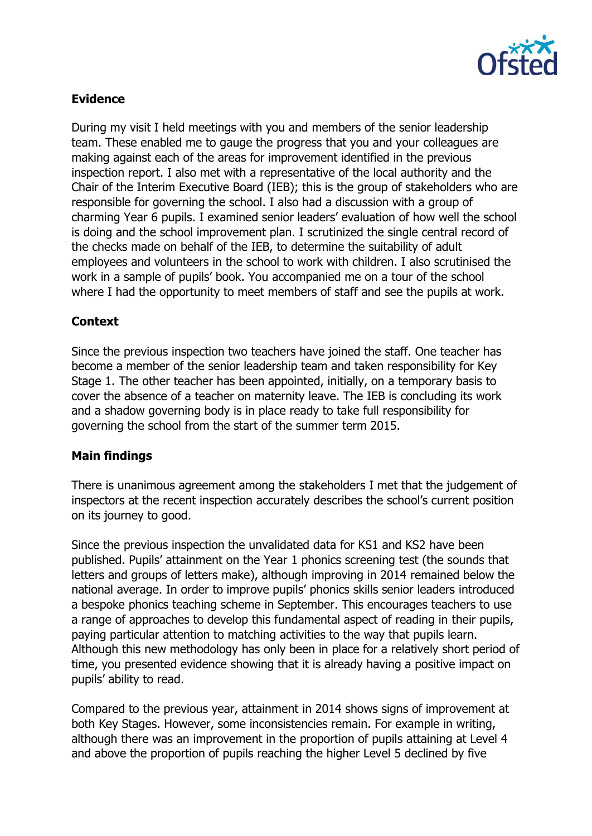

#### **Evidence**

During my visit I held meetings with you and members of the senior leadership team. These enabled me to gauge the progress that you and your colleagues are making against each of the areas for improvement identified in the previous inspection report. I also met with a representative of the local authority and the Chair of the Interim Executive Board (IEB); this is the group of stakeholders who are responsible for governing the school. I also had a discussion with a group of charming Year 6 pupils. I examined senior leaders' evaluation of how well the school is doing and the school improvement plan. I scrutinized the single central record of the checks made on behalf of the IEB, to determine the suitability of adult employees and volunteers in the school to work with children. I also scrutinised the work in a sample of pupils' book. You accompanied me on a tour of the school where I had the opportunity to meet members of staff and see the pupils at work.

### **Context**

Since the previous inspection two teachers have joined the staff. One teacher has become a member of the senior leadership team and taken responsibility for Key Stage 1. The other teacher has been appointed, initially, on a temporary basis to cover the absence of a teacher on maternity leave. The IEB is concluding its work and a shadow governing body is in place ready to take full responsibility for governing the school from the start of the summer term 2015.

#### **Main findings**

There is unanimous agreement among the stakeholders I met that the judgement of inspectors at the recent inspection accurately describes the school's current position on its journey to good.

Since the previous inspection the unvalidated data for KS1 and KS2 have been published. Pupils' attainment on the Year 1 phonics screening test (the sounds that letters and groups of letters make), although improving in 2014 remained below the national average. In order to improve pupils' phonics skills senior leaders introduced a bespoke phonics teaching scheme in September. This encourages teachers to use a range of approaches to develop this fundamental aspect of reading in their pupils, paying particular attention to matching activities to the way that pupils learn. Although this new methodology has only been in place for a relatively short period of time, you presented evidence showing that it is already having a positive impact on pupils' ability to read.

Compared to the previous year, attainment in 2014 shows signs of improvement at both Key Stages. However, some inconsistencies remain. For example in writing, although there was an improvement in the proportion of pupils attaining at Level 4 and above the proportion of pupils reaching the higher Level 5 declined by five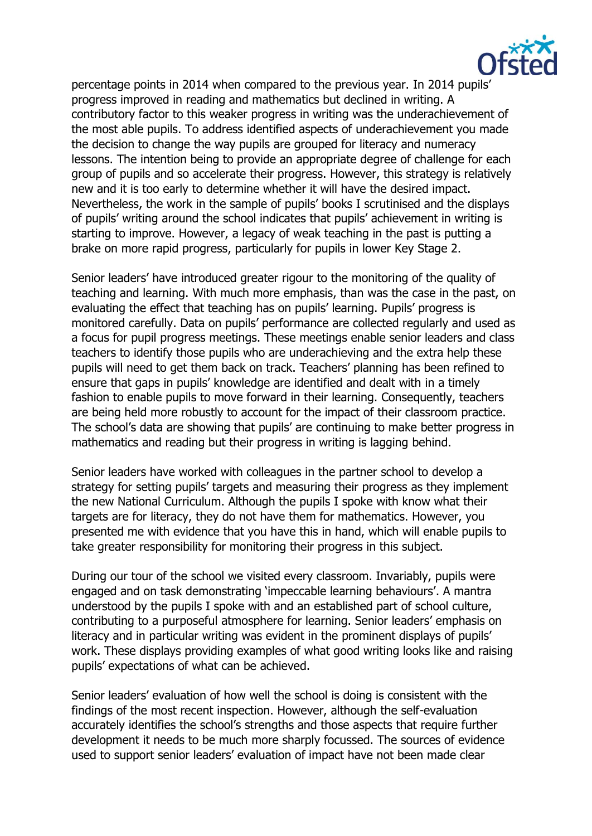

percentage points in 2014 when compared to the previous year. In 2014 pupils' progress improved in reading and mathematics but declined in writing. A contributory factor to this weaker progress in writing was the underachievement of the most able pupils. To address identified aspects of underachievement you made the decision to change the way pupils are grouped for literacy and numeracy lessons. The intention being to provide an appropriate degree of challenge for each group of pupils and so accelerate their progress. However, this strategy is relatively new and it is too early to determine whether it will have the desired impact. Nevertheless, the work in the sample of pupils' books I scrutinised and the displays of pupils' writing around the school indicates that pupils' achievement in writing is starting to improve. However, a legacy of weak teaching in the past is putting a brake on more rapid progress, particularly for pupils in lower Key Stage 2.

Senior leaders' have introduced greater rigour to the monitoring of the quality of teaching and learning. With much more emphasis, than was the case in the past, on evaluating the effect that teaching has on pupils' learning. Pupils' progress is monitored carefully. Data on pupils' performance are collected regularly and used as a focus for pupil progress meetings. These meetings enable senior leaders and class teachers to identify those pupils who are underachieving and the extra help these pupils will need to get them back on track. Teachers' planning has been refined to ensure that gaps in pupils' knowledge are identified and dealt with in a timely fashion to enable pupils to move forward in their learning. Consequently, teachers are being held more robustly to account for the impact of their classroom practice. The school's data are showing that pupils' are continuing to make better progress in mathematics and reading but their progress in writing is lagging behind.

Senior leaders have worked with colleagues in the partner school to develop a strategy for setting pupils' targets and measuring their progress as they implement the new National Curriculum. Although the pupils I spoke with know what their targets are for literacy, they do not have them for mathematics. However, you presented me with evidence that you have this in hand, which will enable pupils to take greater responsibility for monitoring their progress in this subject.

During our tour of the school we visited every classroom. Invariably, pupils were engaged and on task demonstrating 'impeccable learning behaviours'. A mantra understood by the pupils I spoke with and an established part of school culture, contributing to a purposeful atmosphere for learning. Senior leaders' emphasis on literacy and in particular writing was evident in the prominent displays of pupils' work. These displays providing examples of what good writing looks like and raising pupils' expectations of what can be achieved.

Senior leaders' evaluation of how well the school is doing is consistent with the findings of the most recent inspection. However, although the self-evaluation accurately identifies the school's strengths and those aspects that require further development it needs to be much more sharply focussed. The sources of evidence used to support senior leaders' evaluation of impact have not been made clear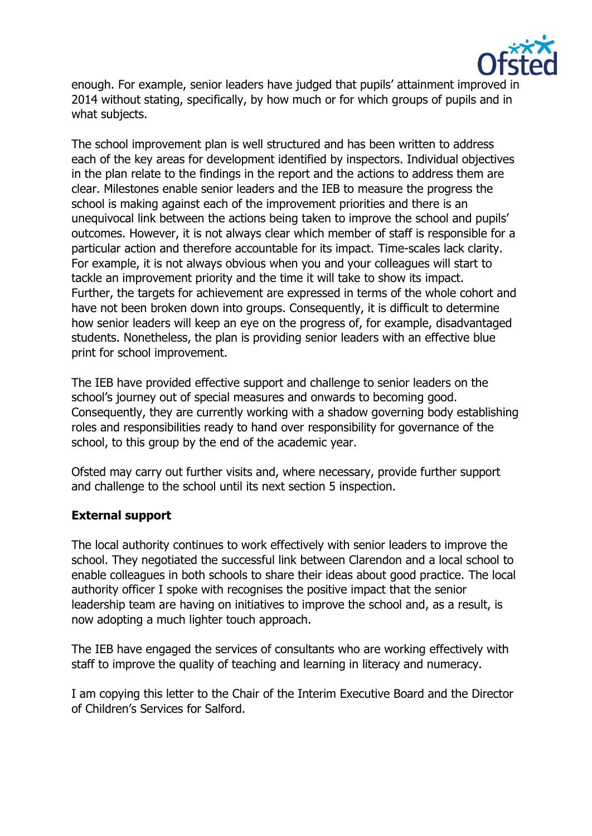

enough. For example, senior leaders have judged that pupils' attainment improved in 2014 without stating, specifically, by how much or for which groups of pupils and in what subjects.

The school improvement plan is well structured and has been written to address each of the key areas for development identified by inspectors. Individual objectives in the plan relate to the findings in the report and the actions to address them are clear. Milestones enable senior leaders and the IEB to measure the progress the school is making against each of the improvement priorities and there is an unequivocal link between the actions being taken to improve the school and pupils' outcomes. However, it is not always clear which member of staff is responsible for a particular action and therefore accountable for its impact. Time-scales lack clarity. For example, it is not always obvious when you and your colleagues will start to tackle an improvement priority and the time it will take to show its impact. Further, the targets for achievement are expressed in terms of the whole cohort and have not been broken down into groups. Consequently, it is difficult to determine how senior leaders will keep an eye on the progress of, for example, disadvantaged students. Nonetheless, the plan is providing senior leaders with an effective blue print for school improvement.

The IEB have provided effective support and challenge to senior leaders on the school's journey out of special measures and onwards to becoming good. Consequently, they are currently working with a shadow governing body establishing roles and responsibilities ready to hand over responsibility for governance of the school, to this group by the end of the academic year.

Ofsted may carry out further visits and, where necessary, provide further support and challenge to the school until its next section 5 inspection.

## **External support**

The local authority continues to work effectively with senior leaders to improve the school. They negotiated the successful link between Clarendon and a local school to enable colleagues in both schools to share their ideas about good practice. The local authority officer I spoke with recognises the positive impact that the senior leadership team are having on initiatives to improve the school and, as a result, is now adopting a much lighter touch approach.

The IEB have engaged the services of consultants who are working effectively with staff to improve the quality of teaching and learning in literacy and numeracy.

I am copying this letter to the Chair of the Interim Executive Board and the Director of Children's Services for Salford.